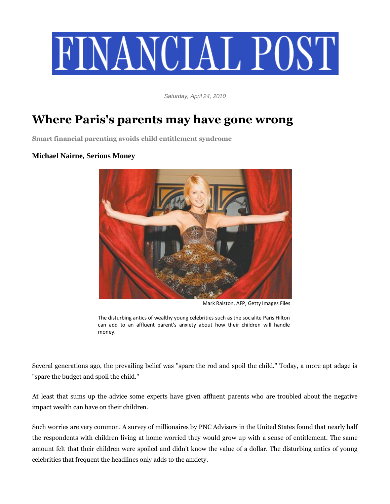

*Saturday, April 24, 2010*

## **Where Paris's parents may have gone wrong**

**Smart financial parenting avoids child entitlement syndrome**

## **Michael Nairne, Serious Money**



Mark Ralston, AFP, Getty Images Files

The disturbing antics of wealthy young celebrities such as the socialite Paris Hilton can add to an affluent parent's anxiety about how their children will handle money.

Several generations ago, the prevailing belief was "spare the rod and spoil the child." Today, a more apt adage is "spare the budget and spoil the child."

At least that sums up the advice some experts have given affluent parents who are troubled about the negative impact wealth can have on their children.

Such worries are very common. A survey of millionaires by PNC Advisors in the United States found that nearly half the respondents with children living at home worried they would grow up with a sense of entitlement. The same amount felt that their children were spoiled and didn't know the value of a dollar. The disturbing antics of young celebrities that frequent the headlines only adds to the anxiety.